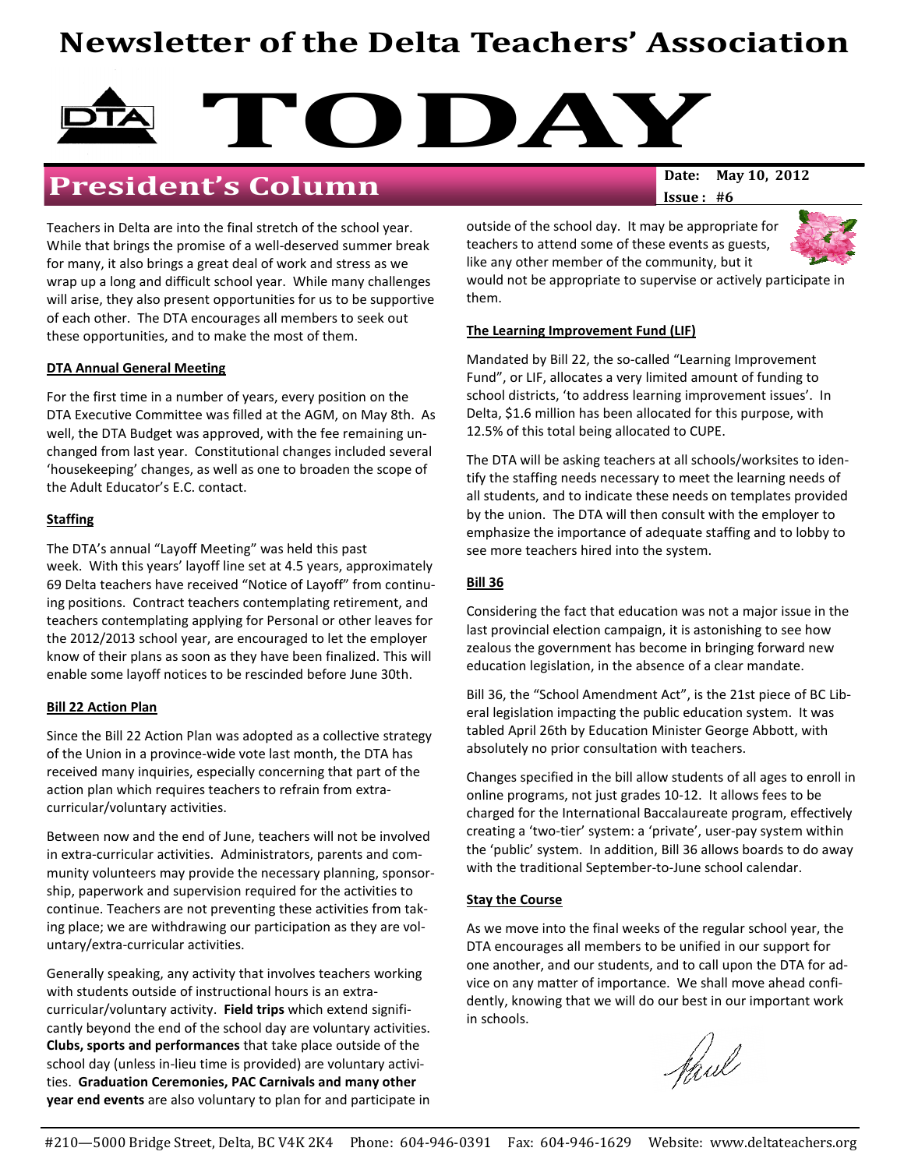# Newsletter of the Delta Teachers' Association

# TODAY<sub>Date: May 10, 2012</sub>

## President's Column

Teachers in Delta are into the final stretch of the school year. While that brings the promise of a well-deserved summer break for many, it also brings a great deal of work and stress as we wrap up a long and difficult school year. While many challenges will arise, they also present opportunities for us to be supportive of each other. The DTA encourages all members to seek out these opportunities, and to make the most of them.

#### DTA Annual General Meeting

For the first time in a number of years, every position on the DTA Executive Committee was filled at the AGM, on May 8th. As well, the DTA Budget was approved, with the fee remaining unchanged from last year. Constitutional changes included several 'housekeeping' changes, as well as one to broaden the scope of the Adult Educator's E.C. contact.

#### **Staffing**

The DTA's annual "Layoff Meeting" was held this past week. With this years' layoff line set at 4.5 years, approximately 69 Delta teachers have received "Notice of Layoff" from continuing positions. Contract teachers contemplating retirement, and teachers contemplating applying for Personal or other leaves for the 2012/2013 school year, are encouraged to let the employer know of their plans as soon as they have been finalized. This will enable some layoff notices to be rescinded before June 30th.

#### **Bill 22 Action Plan**

Since the Bill 22 Action Plan was adopted as a collective strategy of the Union in a province-wide vote last month, the DTA has received many inquiries, especially concerning that part of the action plan which requires teachers to refrain from extracurricular/voluntary activities.

Between now and the end of June, teachers will not be involved in extra-curricular activities. Administrators, parents and community volunteers may provide the necessary planning, sponsorship, paperwork and supervision required for the activities to continue. Teachers are not preventing these activities from taking place; we are withdrawing our participation as they are voluntary/extra-curricular activities.

Generally speaking, any activity that involves teachers working with students outside of instructional hours is an extracurricular/voluntary activity. Field trips which extend significantly beyond the end of the school day are voluntary activities. Clubs, sports and performances that take place outside of the school day (unless in-lieu time is provided) are voluntary activities. Graduation Ceremonies, PAC Carnivals and many other year end events are also voluntary to plan for and participate in Issue : #6

outside of the school day. It may be appropriate for teachers to attend some of these events as guests, like any other member of the community, but it



would not be appropriate to supervise or actively participate in them.

#### The Learning Improvement Fund (LIF)

Mandated by Bill 22, the so-called "Learning Improvement Fund", or LIF, allocates a very limited amount of funding to school districts, 'to address learning improvement issues'. In Delta, \$1.6 million has been allocated for this purpose, with 12.5% of this total being allocated to CUPE.

The DTA will be asking teachers at all schools/worksites to identify the staffing needs necessary to meet the learning needs of all students, and to indicate these needs on templates provided by the union. The DTA will then consult with the employer to emphasize the importance of adequate staffing and to lobby to see more teachers hired into the system.

#### Bill 36

Considering the fact that education was not a major issue in the last provincial election campaign, it is astonishing to see how zealous the government has become in bringing forward new education legislation, in the absence of a clear mandate.

Bill 36, the "School Amendment Act", is the 21st piece of BC Liberal legislation impacting the public education system. It was tabled April 26th by Education Minister George Abbott, with absolutely no prior consultation with teachers.

Changes specified in the bill allow students of all ages to enroll in online programs, not just grades 10-12. It allows fees to be charged for the International Baccalaureate program, effectively creating a 'two-tier' system: a 'private', user-pay system within the 'public' system. In addition, Bill 36 allows boards to do away with the traditional September-to-June school calendar.

#### **Stay the Course**

As we move into the final weeks of the regular school year, the DTA encourages all members to be unified in our support for one another, and our students, and to call upon the DTA for advice on any matter of importance. We shall move ahead confidently, knowing that we will do our best in our important work in schools.

faul